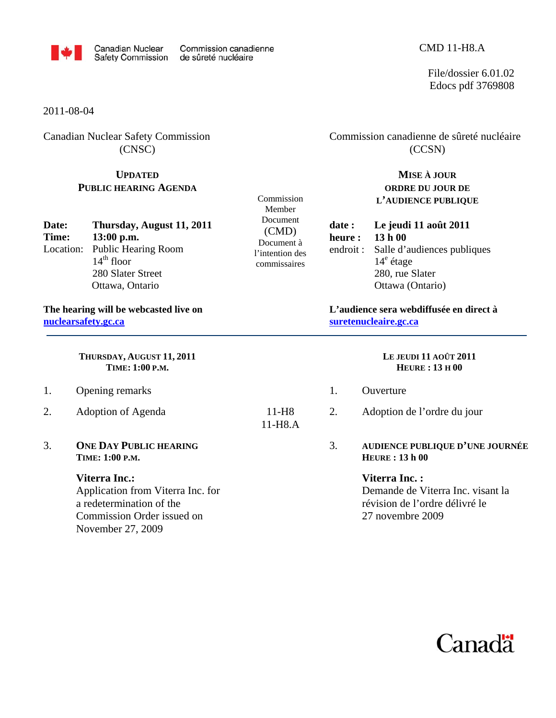

Document à l'intention des commissaires

11-H8.A

Commission Member Document (CMD)

File/dossier 6.01.02 Edocs pdf 3769808

2011-08-04

Canadian Nuclear Safety Commission (CNSC)

## **UPDATED PUBLIC HEARING AGENDA**

| Date:     | Thursday, August 11, 2011 |  |  |
|-----------|---------------------------|--|--|
| Time:     | $13:00$ p.m.              |  |  |
| Location: | Public Hearing Room       |  |  |
|           | $14th$ floor              |  |  |
|           | 280 Slater Street         |  |  |
|           | Ottawa, Ontario           |  |  |

**The hearing will be webcasted live on nuclearsafety.gc.ca** 

> **THURSDAY, AUGUST 11, 2011 TIME: 1:00 P.M.**

- 1. Opening remarks
- 2. Adoption of Agenda 11-H8
- 3. **ONE DAY PUBLIC HEARING TIME: 1:00 P.M.**

## **Viterra Inc.:**

Application from Viterra Inc. for a redetermination of the Commission Order issued on November 27, 2009

Commission canadienne de sûreté nucléaire (CCSN)

> **MISE À JOUR ORDRE DU JOUR DE L'AUDIENCE PUBLIQUE**

**date : Le jeudi 11 août 2011 heure : 13 h 00**  endroit : Salle d'audiences publiques 14<sup>e</sup> étage 280, rue Slater Ottawa (Ontario)

**L'audience sera webdiffusée en direct à suretenucleaire.gc.ca** 

## **LE JEUDI 11 AOÛT 2011 HEURE : 13 H 00**

- 1. Ouverture
- 2. Adoption de l'ordre du jour
- 3. **AUDIENCE PUBLIQUE D'UNE JOURNÉE HEURE : 13 h 00**

## **Viterra Inc. :**

Demande de Viterra Inc. visant la révision de l'ordre délivré le 27 novembre 2009